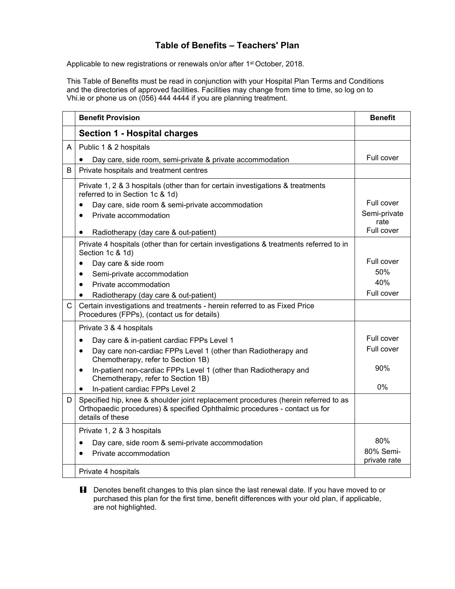## **Table of Benefits – Teachers' Plan**

Applicable to new registrations or renewals on/or after 1<sup>st</sup> October, 2018.

This Table of Benefits must be read in conjunction with your Hospital Plan Terms and Conditions and the directories of approved facilities. Facilities may change from time to time, so log on to Vhi.ie or phone us on (056) 444 4444 if you are planning treatment.

|              | <b>Benefit Provision</b>                                                                                                                                                             | <b>Benefit</b>            |
|--------------|--------------------------------------------------------------------------------------------------------------------------------------------------------------------------------------|---------------------------|
|              | <b>Section 1 - Hospital charges</b>                                                                                                                                                  |                           |
| A            | Public 1 & 2 hospitals                                                                                                                                                               |                           |
|              | Day care, side room, semi-private & private accommodation                                                                                                                            | Full cover                |
| B            | Private hospitals and treatment centres                                                                                                                                              |                           |
|              | Private 1, 2 & 3 hospitals (other than for certain investigations & treatments<br>referred to in Section 1c & 1d)                                                                    |                           |
|              | Day care, side room & semi-private accommodation                                                                                                                                     | Full cover                |
|              | Private accommodation<br>$\bullet$                                                                                                                                                   | Semi-private              |
|              | Radiotherapy (day care & out-patient)<br>$\bullet$                                                                                                                                   | rate<br>Full cover        |
|              | Private 4 hospitals (other than for certain investigations & treatments referred to in<br>Section 1c & 1d)                                                                           |                           |
|              | Day care & side room                                                                                                                                                                 | Full cover                |
|              | Semi-private accommodation<br>$\bullet$                                                                                                                                              | 50%                       |
|              | Private accommodation<br>$\bullet$                                                                                                                                                   | 40%                       |
|              | Radiotherapy (day care & out-patient)<br>$\bullet$                                                                                                                                   | Full cover                |
| $\mathsf{C}$ | Certain investigations and treatments - herein referred to as Fixed Price<br>Procedures (FPPs), (contact us for details)                                                             |                           |
|              | Private 3 & 4 hospitals                                                                                                                                                              |                           |
|              | Day care & in-patient cardiac FPPs Level 1<br>$\bullet$                                                                                                                              | Full cover                |
|              | Day care non-cardiac FPPs Level 1 (other than Radiotherapy and<br>$\bullet$<br>Chemotherapy, refer to Section 1B)                                                                    | Full cover                |
|              | In-patient non-cardiac FPPs Level 1 (other than Radiotherapy and<br>$\bullet$<br>Chemotherapy, refer to Section 1B)                                                                  | 90%                       |
|              | In-patient cardiac FPPs Level 2<br>$\bullet$                                                                                                                                         | 0%                        |
| D            | Specified hip, knee & shoulder joint replacement procedures (herein referred to as<br>Orthopaedic procedures) & specified Ophthalmic procedures - contact us for<br>details of these |                           |
|              | Private 1, 2 & 3 hospitals                                                                                                                                                           |                           |
|              | Day care, side room & semi-private accommodation<br>$\bullet$                                                                                                                        | 80%                       |
|              | Private accommodation<br>$\bullet$                                                                                                                                                   | 80% Semi-<br>private rate |
|              | Private 4 hospitals                                                                                                                                                                  |                           |

**H** Denotes benefit changes to this plan since the last renewal date. If you have moved to or purchased this plan for the first time, benefit differences with your old plan, if applicable, are not highlighted.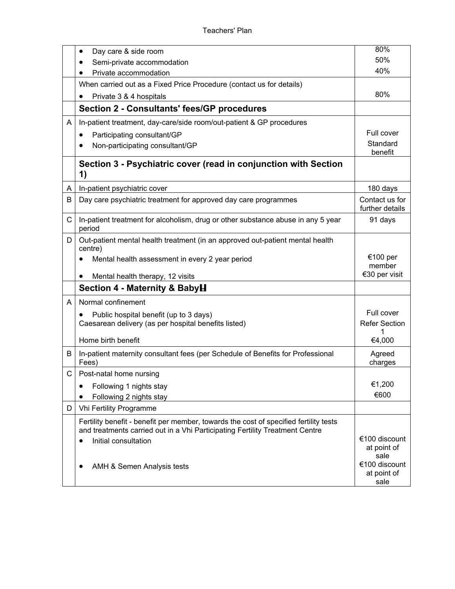|    | Day care & side room                                                                                                                                                  | 80%                                  |
|----|-----------------------------------------------------------------------------------------------------------------------------------------------------------------------|--------------------------------------|
|    | Semi-private accommodation                                                                                                                                            | 50%                                  |
|    | Private accommodation                                                                                                                                                 | 40%                                  |
|    | When carried out as a Fixed Price Procedure (contact us for details)                                                                                                  |                                      |
|    | Private 3 & 4 hospitals                                                                                                                                               | 80%                                  |
|    | <b>Section 2 - Consultants' fees/GP procedures</b>                                                                                                                    |                                      |
| A  | In-patient treatment, day-care/side room/out-patient & GP procedures                                                                                                  |                                      |
|    | Participating consultant/GP<br>$\bullet$                                                                                                                              | Full cover                           |
|    | Non-participating consultant/GP<br>٠                                                                                                                                  | Standard<br>benefit                  |
|    | Section 3 - Psychiatric cover (read in conjunction with Section<br>1)                                                                                                 |                                      |
| A  | In-patient psychiatric cover                                                                                                                                          | 180 days                             |
| B  | Day care psychiatric treatment for approved day care programmes                                                                                                       | Contact us for<br>further details    |
| C  | In-patient treatment for alcoholism, drug or other substance abuse in any 5 year<br>period                                                                            | 91 days                              |
| D  | Out-patient mental health treatment (in an approved out-patient mental health<br>centre)                                                                              |                                      |
|    | Mental health assessment in every 2 year period<br>Mental health therapy, 12 visits                                                                                   | €100 per<br>member<br>€30 per visit  |
|    | Section 4 - Maternity & BabyH                                                                                                                                         |                                      |
| A  | Normal confinement                                                                                                                                                    |                                      |
|    |                                                                                                                                                                       | Full cover                           |
|    | Public hospital benefit (up to 3 days)<br>Caesarean delivery (as per hospital benefits listed)                                                                        | <b>Refer Section</b>                 |
|    |                                                                                                                                                                       | 1                                    |
|    | Home birth benefit                                                                                                                                                    | €4,000                               |
| B  | In-patient maternity consultant fees (per Schedule of Benefits for Professional<br>Fees)                                                                              | Agreed<br>charges                    |
| C. | Post-natal home nursing                                                                                                                                               |                                      |
|    | Following 1 nights stay                                                                                                                                               | €1,200                               |
|    | Following 2 nights stay                                                                                                                                               | €600                                 |
| D. | Vhi Fertility Programme                                                                                                                                               |                                      |
|    | Fertility benefit - benefit per member, towards the cost of specified fertility tests<br>and treatments carried out in a Vhi Participating Fertility Treatment Centre |                                      |
|    | Initial consultation                                                                                                                                                  | €100 discount                        |
|    |                                                                                                                                                                       | at point of<br>sale                  |
|    | AMH & Semen Analysis tests                                                                                                                                            | €100 discount<br>at point of<br>sale |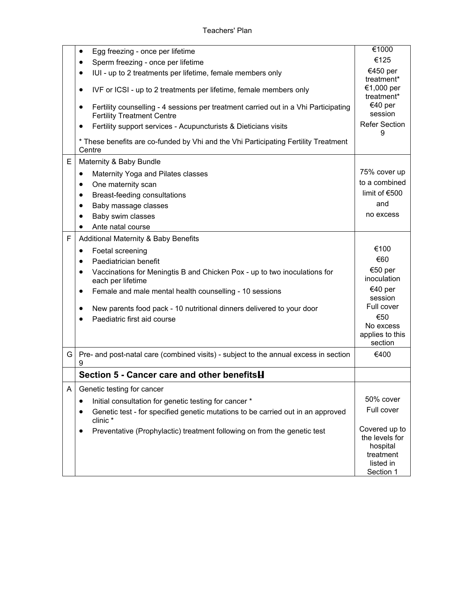|   | Egg freezing - once per lifetime<br>٠                                                                                                 | €1000                                                                              |
|---|---------------------------------------------------------------------------------------------------------------------------------------|------------------------------------------------------------------------------------|
|   | Sperm freezing - once per lifetime                                                                                                    | €125                                                                               |
|   | IUI - up to 2 treatments per lifetime, female members only<br>٠                                                                       | €450 per<br>treatment*                                                             |
|   | IVF or ICSI - up to 2 treatments per lifetime, female members only                                                                    | €1,000 per<br>treatment*                                                           |
|   | Fertility counselling - 4 sessions per treatment carried out in a Vhi Participating<br>$\bullet$<br><b>Fertility Treatment Centre</b> | €40 per<br>session                                                                 |
|   | Fertility support services - Acupuncturists & Dieticians visits                                                                       | <b>Refer Section</b><br>9                                                          |
|   | * These benefits are co-funded by Vhi and the Vhi Participating Fertility Treatment<br>Centre                                         |                                                                                    |
| E | Maternity & Baby Bundle                                                                                                               |                                                                                    |
|   | Maternity Yoga and Pilates classes<br>٠                                                                                               | 75% cover up                                                                       |
|   | One maternity scan<br>$\bullet$                                                                                                       | to a combined                                                                      |
|   | Breast-feeding consultations<br>٠                                                                                                     | limit of $€500$                                                                    |
|   | Baby massage classes                                                                                                                  | and                                                                                |
|   | Baby swim classes<br>$\bullet$                                                                                                        | no excess                                                                          |
|   | Ante natal course                                                                                                                     |                                                                                    |
| F | Additional Maternity & Baby Benefits                                                                                                  |                                                                                    |
|   | Foetal screening                                                                                                                      | €100                                                                               |
|   | Paediatrician benefit<br>٠                                                                                                            | €60                                                                                |
|   | Vaccinations for Meningtis B and Chicken Pox - up to two inoculations for<br>each per lifetime                                        | €50 per<br>inoculation                                                             |
|   | Female and male mental health counselling - 10 sessions<br>٠                                                                          | €40 per<br>session                                                                 |
|   | New parents food pack - 10 nutritional dinners delivered to your door<br>Paediatric first aid course                                  | Full cover<br>€50<br>No excess<br>applies to this<br>section                       |
| G | Pre- and post-natal care (combined visits) - subject to the annual excess in section<br>9                                             | €400                                                                               |
|   | Section 5 - Cancer care and other benefits <b>H</b>                                                                                   |                                                                                    |
| A | Genetic testing for cancer                                                                                                            |                                                                                    |
|   | Initial consultation for genetic testing for cancer *                                                                                 | 50% cover                                                                          |
|   | Genetic test - for specified genetic mutations to be carried out in an approved<br>clinic*                                            | Full cover                                                                         |
|   | Preventative (Prophylactic) treatment following on from the genetic test                                                              | Covered up to<br>the levels for<br>hospital<br>treatment<br>listed in<br>Section 1 |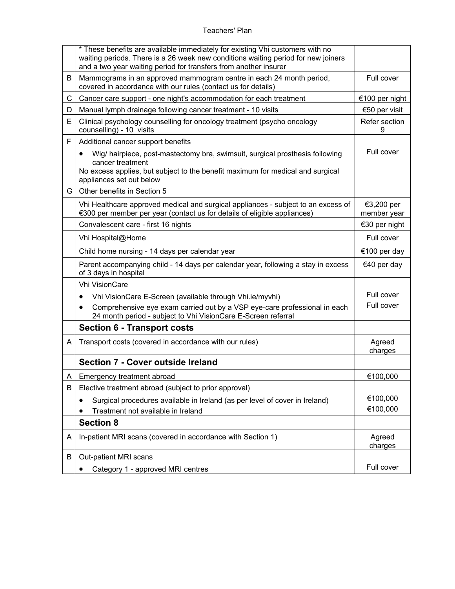## Teachers' Plan

|   | * These benefits are available immediately for existing Vhi customers with no<br>waiting periods. There is a 26 week new conditions waiting period for new joiners<br>and a two year waiting period for transfers from another insurer |                           |
|---|----------------------------------------------------------------------------------------------------------------------------------------------------------------------------------------------------------------------------------------|---------------------------|
| B | Mammograms in an approved mammogram centre in each 24 month period,<br>covered in accordance with our rules (contact us for details)                                                                                                   | Full cover                |
| C | Cancer care support - one night's accommodation for each treatment                                                                                                                                                                     | €100 per night            |
| D | Manual lymph drainage following cancer treatment - 10 visits                                                                                                                                                                           | €50 per visit             |
| E | Clinical psychology counselling for oncology treatment (psycho oncology<br>counselling) - 10 visits                                                                                                                                    | Refer section<br>9        |
| F | Additional cancer support benefits                                                                                                                                                                                                     |                           |
|   | Wig/ hairpiece, post-mastectomy bra, swimsuit, surgical prosthesis following<br>$\bullet$<br>cancer treatment<br>No excess applies, but subject to the benefit maximum for medical and surgical<br>appliances set out below            | Full cover                |
| G | Other benefits in Section 5                                                                                                                                                                                                            |                           |
|   | Vhi Healthcare approved medical and surgical appliances - subject to an excess of<br>€300 per member per year (contact us for details of eligible appliances)                                                                          | €3,200 per<br>member year |
|   | Convalescent care - first 16 nights                                                                                                                                                                                                    | €30 per night             |
|   | Vhi Hospital@Home                                                                                                                                                                                                                      | Full cover                |
|   | Child home nursing - 14 days per calendar year                                                                                                                                                                                         | €100 per day              |
|   | Parent accompanying child - 14 days per calendar year, following a stay in excess<br>of 3 days in hospital                                                                                                                             | €40 per day               |
|   | <b>Vhi VisionCare</b>                                                                                                                                                                                                                  |                           |
|   | Vhi VisionCare E-Screen (available through Vhi.ie/myvhi)<br>٠                                                                                                                                                                          | Full cover                |
|   | Comprehensive eye exam carried out by a VSP eye-care professional in each<br>24 month period - subject to Vhi VisionCare E-Screen referral                                                                                             | Full cover                |
|   | <b>Section 6 - Transport costs</b>                                                                                                                                                                                                     |                           |
| A | Transport costs (covered in accordance with our rules)                                                                                                                                                                                 | Agreed<br>charges         |
|   | <b>Section 7 - Cover outside Ireland</b>                                                                                                                                                                                               |                           |
| A | Emergency treatment abroad                                                                                                                                                                                                             | €100,000                  |
| B | Elective treatment abroad (subject to prior approval)                                                                                                                                                                                  |                           |
|   | Surgical procedures available in Ireland (as per level of cover in Ireland)                                                                                                                                                            | €100,000                  |
|   | Treatment not available in Ireland                                                                                                                                                                                                     | €100,000                  |
|   | <b>Section 8</b>                                                                                                                                                                                                                       |                           |
| A | In-patient MRI scans (covered in accordance with Section 1)                                                                                                                                                                            | Agreed<br>charges         |
| B | Out-patient MRI scans                                                                                                                                                                                                                  |                           |
|   | Category 1 - approved MRI centres                                                                                                                                                                                                      | Full cover                |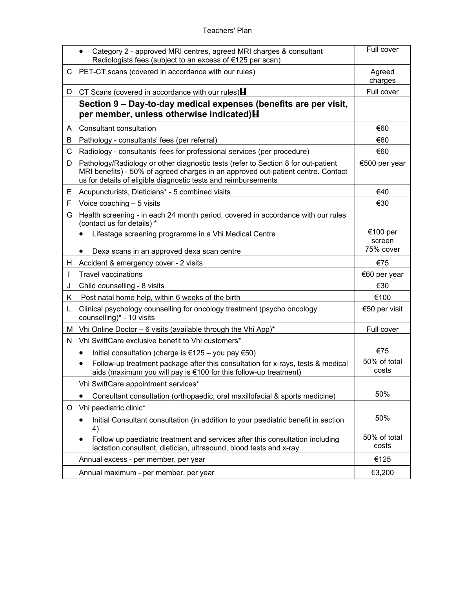## Teachers' Plan

|    | Category 2 - approved MRI centres, agreed MRI charges & consultant<br>$\bullet$<br>Radiologists fees (subject to an excess of €125 per scan)                                                                                            | Full cover            |
|----|-----------------------------------------------------------------------------------------------------------------------------------------------------------------------------------------------------------------------------------------|-----------------------|
| C  | PET-CT scans (covered in accordance with our rules)                                                                                                                                                                                     | Agreed<br>charges     |
| D  | CT Scans (covered in accordance with our rules)                                                                                                                                                                                         | Full cover            |
|    | Section 9 – Day-to-day medical expenses (benefits are per visit,<br>per member, unless otherwise indicated) H                                                                                                                           |                       |
| A  | Consultant consultation                                                                                                                                                                                                                 | €60                   |
| B  | Pathology - consultants' fees (per referral)                                                                                                                                                                                            | €60                   |
| C  | Radiology - consultants' fees for professional services (per procedure)                                                                                                                                                                 | €60                   |
| D  | Pathology/Radiology or other diagnostic tests (refer to Section 8 for out-patient<br>MRI benefits) - 50% of agreed charges in an approved out-patient centre. Contact<br>us for details of eligible diagnostic tests and reimbursements | €500 per year         |
| E  | Acupuncturists, Dieticians* - 5 combined visits                                                                                                                                                                                         | €40                   |
| F  | Voice coaching $-5$ visits                                                                                                                                                                                                              | €30                   |
| G  | Health screening - in each 24 month period, covered in accordance with our rules<br>(contact us for details) *                                                                                                                          |                       |
|    | Lifestage screening programme in a Vhi Medical Centre                                                                                                                                                                                   | €100 per<br>screen    |
|    | Dexa scans in an approved dexa scan centre                                                                                                                                                                                              | 75% cover             |
| H. | Accident & emergency cover - 2 visits                                                                                                                                                                                                   | €75                   |
|    | <b>Travel vaccinations</b>                                                                                                                                                                                                              | €60 per year          |
| J  | Child counselling - 8 visits                                                                                                                                                                                                            | €30                   |
| K  | Post natal home help, within 6 weeks of the birth                                                                                                                                                                                       | €100                  |
| L  | Clinical psychology counselling for oncology treatment (psycho oncology<br>counselling)* - 10 visits                                                                                                                                    | €50 per visit         |
| М  | Vhi Online Doctor - 6 visits (available through the Vhi App)*                                                                                                                                                                           | Full cover            |
| Ν  | Vhi SwiftCare exclusive benefit to Vhi customers*                                                                                                                                                                                       |                       |
|    | Initial consultation (charge is €125 – you pay €50)<br>$\bullet$                                                                                                                                                                        | €75                   |
|    | Follow-up treatment package after this consultation for x-rays, tests & medical<br>aids (maximum you will pay is €100 for this follow-up treatment)                                                                                     | 50% of total<br>costs |
|    | Vhi SwiftCare appointment services*                                                                                                                                                                                                     |                       |
|    | Consultant consultation (orthopaedic, oral maxillofacial & sports medicine)                                                                                                                                                             | 50%                   |
| O  | Vhi paediatric clinic*                                                                                                                                                                                                                  |                       |
|    | Initial Consultant consultation (in addition to your paediatric benefit in section<br>$\bullet$<br>4)                                                                                                                                   | 50%                   |
|    | Follow up paediatric treatment and services after this consultation including<br>$\bullet$<br>lactation consultant, dietician, ultrasound, blood tests and x-ray                                                                        | 50% of total<br>costs |
|    | Annual excess - per member, per year                                                                                                                                                                                                    | €125                  |
|    | Annual maximum - per member, per year                                                                                                                                                                                                   | €3,200                |